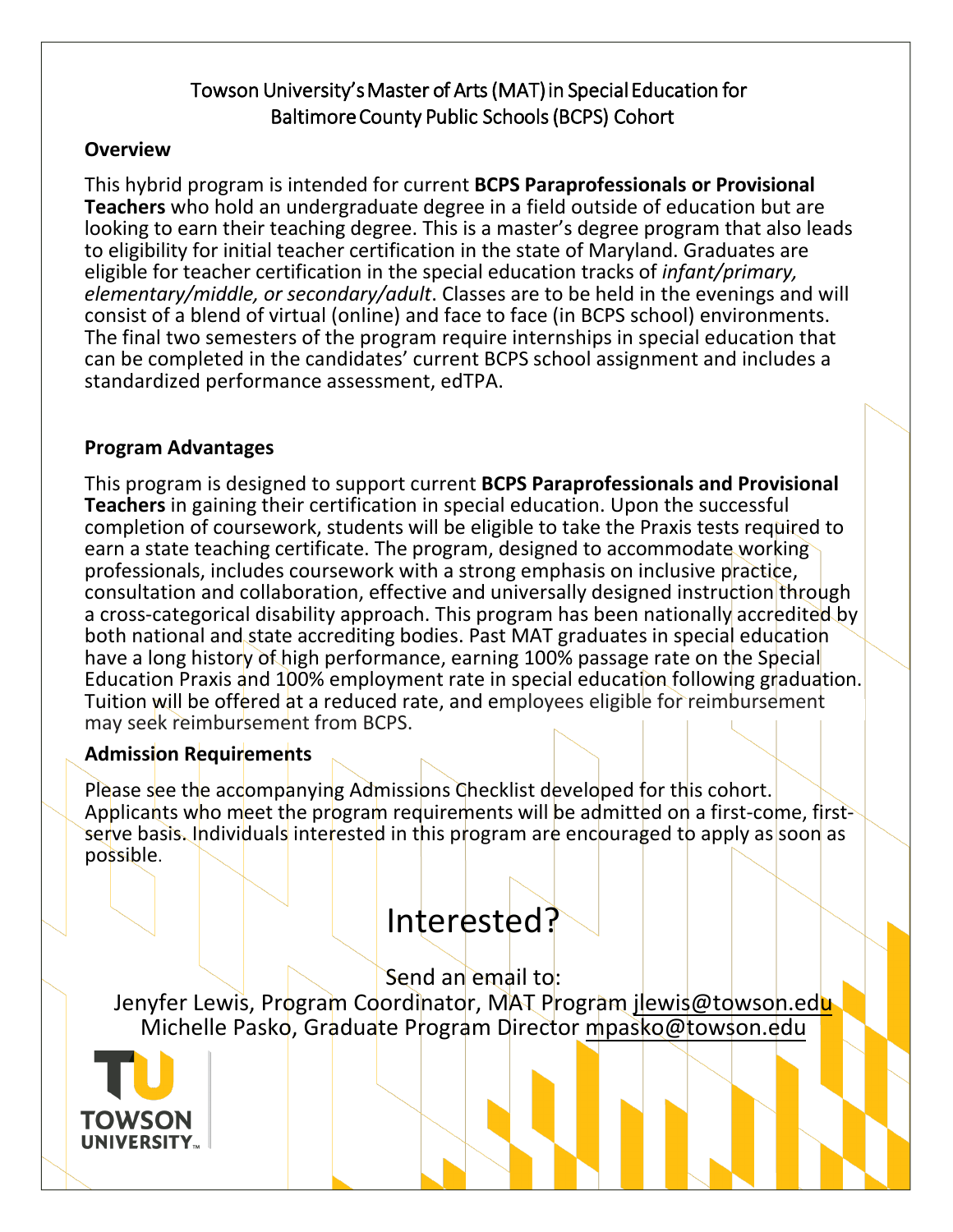# Towson University's Master of Arts (MAT) in Special Education for Baltimore County Public Schools (BCPS) Cohort

# **Overview**

This hybrid program is intended for current **BCPS Paraprofessionals or Provisional Teachers** who hold an undergraduate degree in a field outside of education but are looking to earn their teaching degree. This is a master's degree program that also leads to eligibility for initial teacher certification in the state of Maryland. Graduates are eligible for teacher certification in the special education tracks of *infant/primary, elementary/middle, or secondary/adult*. Classes are to be held in the evenings and will consist of a blend of virtual (online) and face to face (in BCPS school) environments. The final two semesters of the program require internships in special education that can be completed in the candidates' current BCPS school assignment and includes a standardized performance assessment, edTPA.

# **Program Advantages**

This program is designed to support current **BCPS Paraprofessionals and Provisional Teachers** in gaining their certification in special education. Upon the successful completion of coursework, students will be eligible to take the Praxis tests required to earn a state teaching certificate. The program, designed to accommodate working professionals, includes coursework with a strong emphasis on inclusive practice, consultation and collaboration, effective and universally designed instruction through a cross-categorical disability approach. This program has been nationally accredited by both national and state accrediting bodies. Past MAT graduates in special education have a long history of high performance, earning 100% passage rate on the Special Education Praxis and 100% employment rate in special education following graduation. Tuition will be offered at a reduced rate, and employees eligible for reimbursement may seek reimbursement from BCPS.

# **Admission Requirements**

Please see the accompanying Admissions Checklist developed for this cohort. Applicants who meet the program requirements will be admitted on a first-come, firstserve basis. Individuals interested in this program are encouraged to apply as soon as possible.

# Interested?

Send an email to: Jenyfer Lewis, Program Coordinator, MAT Program jlewis@towson.edu Michelle Pasko, Graduate Program Director mpasko@towson.edu